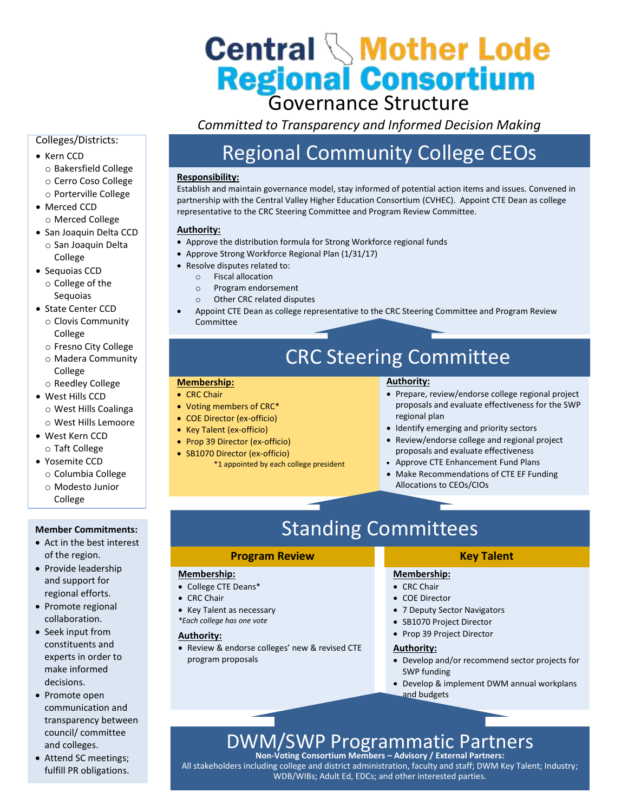# **Central Mother Lode<br>Regional Consortium**<br>Governance Structure

*Committed to Transparency and Informed Decision Making* 

# Colleges/Districts:

- Kern CCD o Bakersfield College o Cerro Coso College o Porterville College
- Merced CCD o Merced College
- San Joaquin Delta CCD o San Joaquin Delta
- College • Sequoias CCD
- o College of the Sequoias
- State Center CCD o Clovis Community College
	- o Fresno City College
	- o Madera Community College
	- o Reedley College
- West Hills CCD
	- o West Hills Coalinga
- o West Hills Lemoore • West Kern CCD
- o Taft College
- Yosemite CCD o Columbia College
	- o Modesto Junior College

## **Member Commitments:**

- Act in the best interest of the region.
- Provide leadership and support for regional efforts.
- Promote regional collaboration.
- Seek input from constituents and experts in order to make informed decisions.
- Promote open communication and transparency between council/ committee and colleges.
- Attend SC meetings; fulfill PR obligations.

# Regional Community College CEOs

# **Responsibility:**

Establish and maintain governance model, stay informed of potential action items and issues. Convened in partnership with the Central Valley Higher Education Consortium (CVHEC). Appoint CTE Dean as college representative to the CRC Steering Committee and Program Review Committee.

# **Authority:**

- Approve the distribution formula for Strong Workforce regional funds
- Approve Strong Workforce Regional Plan (1/31/17)
- Resolve disputes related to:
	- o Fiscal allocation
	- o Program endorsement
	- o Other CRC related disputes
- Appoint CTE Dean as college representative to the CRC Steering Committee and Program Review Committee

# CRC Steering Committee

### **Membership:**

- CRC Chair
- Voting members of CRC\*
- COE Director (ex-officio)
- Key Talent (ex-officio)
- Prop 39 Director (ex-officio)
- SB1070 Director (ex-officio)
	- \*1 appointed by each college president

# **Authority:**

- Prepare, review/endorse college regional project proposals and evaluate effectiveness for the SWP regional plan
- Identify emerging and priority sectors
- Review/endorse college and regional project proposals and evaluate effectiveness
- Approve CTE Enhancement Fund Plans
- Make Recommendations of CTE EF Funding Allocations to CEOs/CIOs

# Standing Committees

# **Program Review**

# **Membership:**

- College CTE Deans\*
- CRC Chair
- Key Talent as necessary
- *\*Each college has one vote*

# **Authority:**

 Review & endorse colleges' new & revised CTE program proposals

# **Key Talent**

# **Membership:**

- CRC Chair
- COE Director
- 7 Deputy Sector Navigators
- SB1070 Project Director
- Prop 39 Project Director

### **Authority:**

- Develop and/or recommend sector projects for SWP funding
- Develop & implement DWM annual workplans and budgets

# DWM/SWP Programmatic Partners **Non-Voting Consortium Members – Advisory / External Partners:**

All stakeholders including college and district administration, faculty and staff; DWM Key Talent; Industry; WDB/WIBs; Adult Ed, EDCs; and other interested parties.